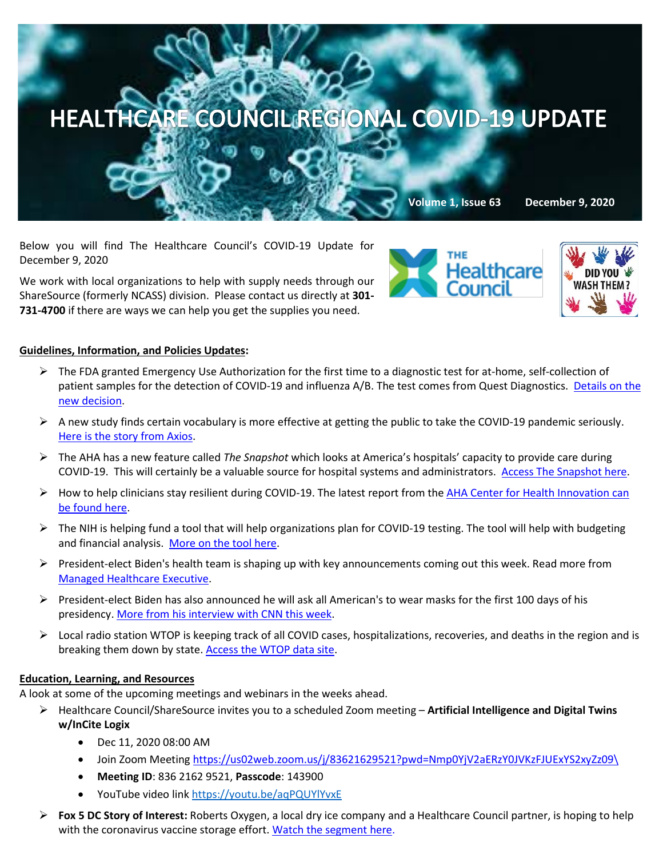

Below you will find The Healthcare Council's COVID-19 Update for December 9, 2020

We work with local organizations to help with supply needs through our ShareSource (formerly NCASS) division. Please contact us directly at **301- 731-4700** if there are ways we can help you get the supplies you need.





## **Guidelines, Information, and Policies Updates:**

- $\triangleright$  The FDA granted Emergency Use Authorization for the first time to a diagnostic test for at-home, self-collection of patient samples for the detection of COVID-19 and influenza A/B. The test comes from Quest Diagnostics. Details on the [new decision.](https://www.modernhealthcare.com/technology/fda-authorizes-quest-diagnostics-covidflu-test-emergency-use?utm_source=modern-healthcare-covid-19-coverage&utm_medium=email&utm_campaign=20201207&utm_content=article3-headline)
- $\triangleright$  A new study finds certain vocabulary is more effective at getting the public to take the COVID-19 pandemic seriously. Here is [the story from Axios.](https://www.axios.com/pandemic-language-study-covid-19-lockdown-d6ea2080-11fb-486f-b295-164b510c86e7.html)
- The AHA has a new feature called *The Snapshot* which looks at America's hospitals' capacity to provide care during COVID-19. This will certainly be a valuable source for hospital systems and administrators. [Access The Snapshot here.](https://www.aha.org/the-snapshot)
- How to help clinicians stay resilient during COVID-19. The latest report from the AHA Center for Health Innovation can [be found here.](https://contentsharing.net/actions/email_web_version.cfm?ep=Bdhtp-zVuqFkgQiV6-lxty0f-nrLBJWzuTngPvD-5dXy0KrJjfGc0JDiyrNzO4guNCtQ7IvQTDjqlebrKZg62-4ttFu-ESWNtq9sHms0Pq2pEJrh3OEQPIbtDdBUFXSH)
- $\triangleright$  The NIH is helping fund a tool that will help organizations plan for COVID-19 testing. The tool will help with budgeting and financial analysis. [More on the tool here.](https://www.nih.gov/news-events/news-releases/nih-funded-tool-helps-organizations-plan-covid-19-testing)
- $\triangleright$  President-elect Biden's health team is shaping up with key announcements coming out this week. Read more from [Managed Healthcare Executive.](https://www.managedhealthcareexecutive.com/view/biden-taps-california-ag-becerra-to-be-hhs-secretary?utm_source=sfmc&utm_medium=email&utm_campaign=12.7.2020_AMG-20-MHD0167_MHE_eNL_MHE%20Pacify%20Health%20Webinar_Amgen-Prolia&eKey=bHBpdHRvbkBoZWFsdGhjYXJlLWNvdW5jaWwub3Jn)
- $\triangleright$  President-elect Biden has also announced he will ask all American's to wear masks for the first 100 days of his presidency. [More from his interview with CNN this week.](https://www.cnn.com/2020/12/03/politics/biden-harris-interview-jake-tapper/?mkt_tok=eyJpIjoiTW1Jd1pUVXpaVEJqTURVeSIsInQiOiJJdWtTRVhnMFU3aWEyeWl1dG9RaFFwem9lMUN1c2FuZ1VaMW1PR09sT0N1d2owa2VcL25xUVFxNlpRVHhPVml5a1JxNmJ0VGFzMCtiNWVoT1JEQWV6M2w1WWtrZnZLbThsTzhjTW4xS01qTkdFZkthdFpFM2s3OXgyM0tZdmZhMjgifQ==)
- $\triangleright$  Local radio station WTOP is keeping track of all COVID cases, hospitalizations, recoveries, and deaths in the region and is breaking them down by state. [Access the WTOP data site.](https://wtop.com/coronavirus/2020/12/coronavirus-test-results-in-dc-maryland-and-virginia/)

## **Education, Learning, and Resources**

A look at some of the upcoming meetings and webinars in the weeks ahead.

- Healthcare Council/ShareSource invites you to a scheduled Zoom meeting **Artificial Intelligence and Digital Twins w/InCite Logix**
	- Dec 11, 2020 08:00 AM
	- Join Zoom Meeting [https://us02web.zoom.us/j/83621629521?pwd=Nmp0YjV2aERzY0JVKzFJUExYS2xyZz09\](https://us02web.zoom.us/j/83621629521?pwd=Nmp0YjV2aERzY0JVKzFJUExYS2xyZz09%5C)
	- **Meeting ID**: 836 2162 9521, **Passcode**: 143900
	- YouTube video link<https://youtu.be/aqPQUYlYvxE>
- **Fox 5 DC Story of Interest:** Roberts Oxygen, a local dry ice company and a Healthcare Council partner, is hoping to help with the coronavirus vaccine storage effort. Watch the segment here.